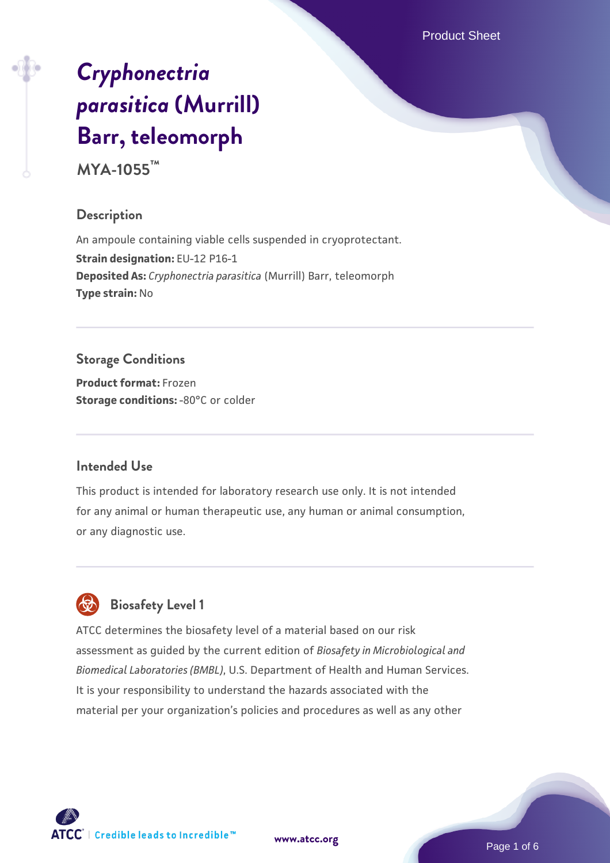Product Sheet

# *[Cryphonectria](https://www.atcc.org/products/mya-1055) [parasitica](https://www.atcc.org/products/mya-1055)* **[\(Murrill\)](https://www.atcc.org/products/mya-1055) [Barr, teleomorph](https://www.atcc.org/products/mya-1055)**

**MYA-1055™**

## **Description**

An ampoule containing viable cells suspended in cryoprotectant. **Strain designation:** EU-12 P16-1 **Deposited As:** *Cryphonectria parasitica* (Murrill) Barr, teleomorph **Type strain:** No

# **Storage Conditions**

**Product format:** Frozen **Storage conditions: -80°C** or colder

#### **Intended Use**

This product is intended for laboratory research use only. It is not intended for any animal or human therapeutic use, any human or animal consumption, or any diagnostic use.



# **Biosafety Level 1**

ATCC determines the biosafety level of a material based on our risk assessment as guided by the current edition of *Biosafety in Microbiological and Biomedical Laboratories (BMBL)*, U.S. Department of Health and Human Services. It is your responsibility to understand the hazards associated with the material per your organization's policies and procedures as well as any other

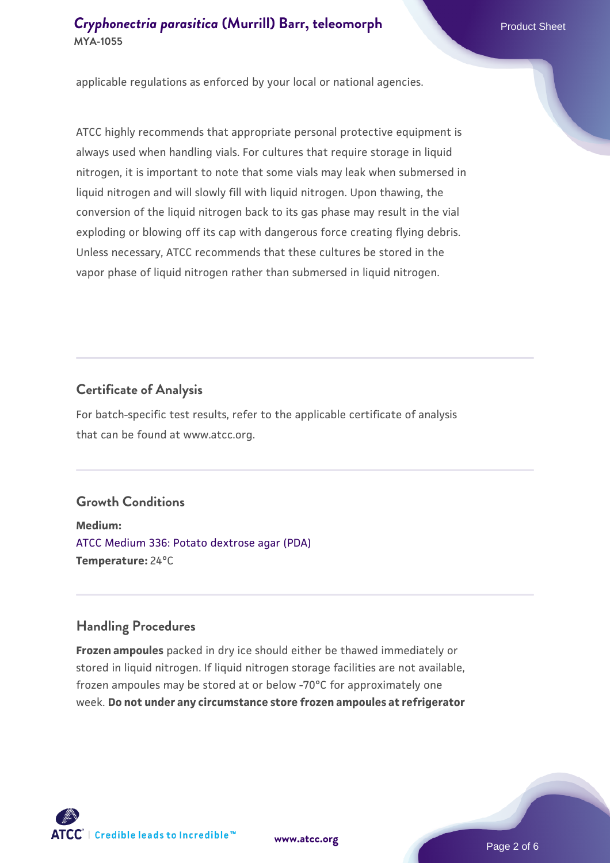applicable regulations as enforced by your local or national agencies.

ATCC highly recommends that appropriate personal protective equipment is always used when handling vials. For cultures that require storage in liquid nitrogen, it is important to note that some vials may leak when submersed in liquid nitrogen and will slowly fill with liquid nitrogen. Upon thawing, the conversion of the liquid nitrogen back to its gas phase may result in the vial exploding or blowing off its cap with dangerous force creating flying debris. Unless necessary, ATCC recommends that these cultures be stored in the vapor phase of liquid nitrogen rather than submersed in liquid nitrogen.

#### **Certificate of Analysis**

For batch-specific test results, refer to the applicable certificate of analysis that can be found at www.atcc.org.

## **Growth Conditions**

**Medium:**  [ATCC Medium 336: Potato dextrose agar \(PDA\)](https://www.atcc.org/-/media/product-assets/documents/microbial-media-formulations/3/3/6/atcc-medium-336.pdf?rev=d9160ad44d934cd8b65175461abbf3b9) **Temperature:** 24°C

#### **Handling Procedures**

**Frozen ampoules** packed in dry ice should either be thawed immediately or stored in liquid nitrogen. If liquid nitrogen storage facilities are not available, frozen ampoules may be stored at or below -70°C for approximately one week. **Do not under any circumstance store frozen ampoules at refrigerator**



**[www.atcc.org](http://www.atcc.org)**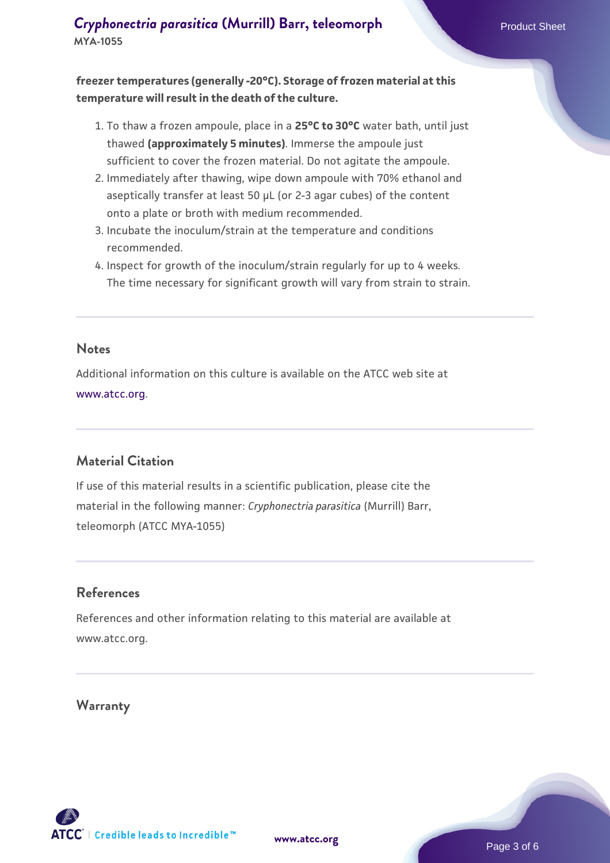**freezer temperatures (generally -20°C). Storage of frozen material at this temperature will result in the death of the culture.**

- 1. To thaw a frozen ampoule, place in a **25°C to 30°C** water bath, until just thawed **(approximately 5 minutes)**. Immerse the ampoule just sufficient to cover the frozen material. Do not agitate the ampoule.
- 2. Immediately after thawing, wipe down ampoule with 70% ethanol and aseptically transfer at least 50 µL (or 2-3 agar cubes) of the content onto a plate or broth with medium recommended.
- 3. Incubate the inoculum/strain at the temperature and conditions recommended.
- 4. Inspect for growth of the inoculum/strain regularly for up to 4 weeks. The time necessary for significant growth will vary from strain to strain.

#### **Notes**

Additional information on this culture is available on the ATCC web site at [www.atcc.org.](http://www.atcc.org/)

## **Material Citation**

If use of this material results in a scientific publication, please cite the material in the following manner: *Cryphonectria parasitica* (Murrill) Barr, teleomorph (ATCC MYA-1055)

#### **References**

References and other information relating to this material are available at www.atcc.org.

#### **Warranty**

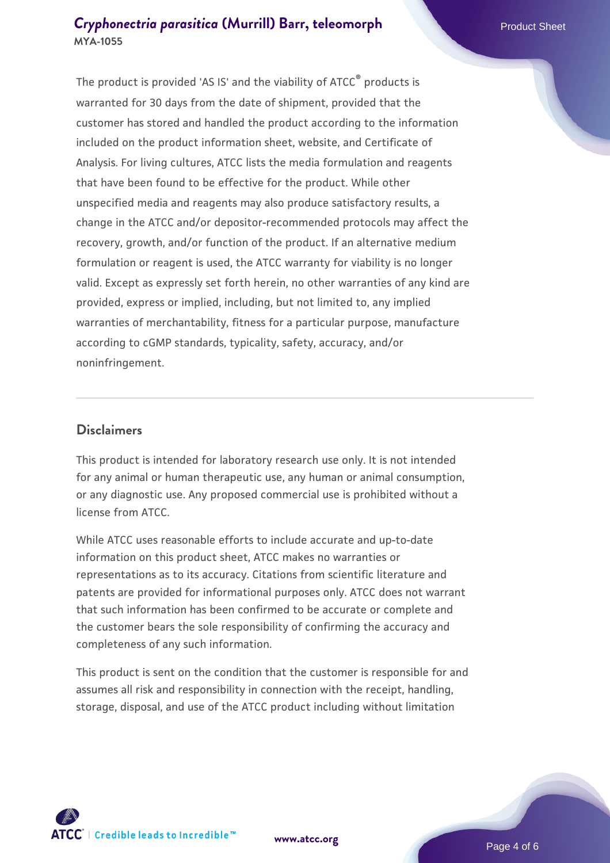The product is provided 'AS IS' and the viability of ATCC® products is warranted for 30 days from the date of shipment, provided that the customer has stored and handled the product according to the information included on the product information sheet, website, and Certificate of Analysis. For living cultures, ATCC lists the media formulation and reagents that have been found to be effective for the product. While other unspecified media and reagents may also produce satisfactory results, a change in the ATCC and/or depositor-recommended protocols may affect the recovery, growth, and/or function of the product. If an alternative medium formulation or reagent is used, the ATCC warranty for viability is no longer valid. Except as expressly set forth herein, no other warranties of any kind are provided, express or implied, including, but not limited to, any implied warranties of merchantability, fitness for a particular purpose, manufacture according to cGMP standards, typicality, safety, accuracy, and/or noninfringement.

#### **Disclaimers**

This product is intended for laboratory research use only. It is not intended for any animal or human therapeutic use, any human or animal consumption, or any diagnostic use. Any proposed commercial use is prohibited without a license from ATCC.

While ATCC uses reasonable efforts to include accurate and up-to-date information on this product sheet, ATCC makes no warranties or representations as to its accuracy. Citations from scientific literature and patents are provided for informational purposes only. ATCC does not warrant that such information has been confirmed to be accurate or complete and the customer bears the sole responsibility of confirming the accuracy and completeness of any such information.

This product is sent on the condition that the customer is responsible for and assumes all risk and responsibility in connection with the receipt, handling, storage, disposal, and use of the ATCC product including without limitation



**[www.atcc.org](http://www.atcc.org)**

Page 4 of 6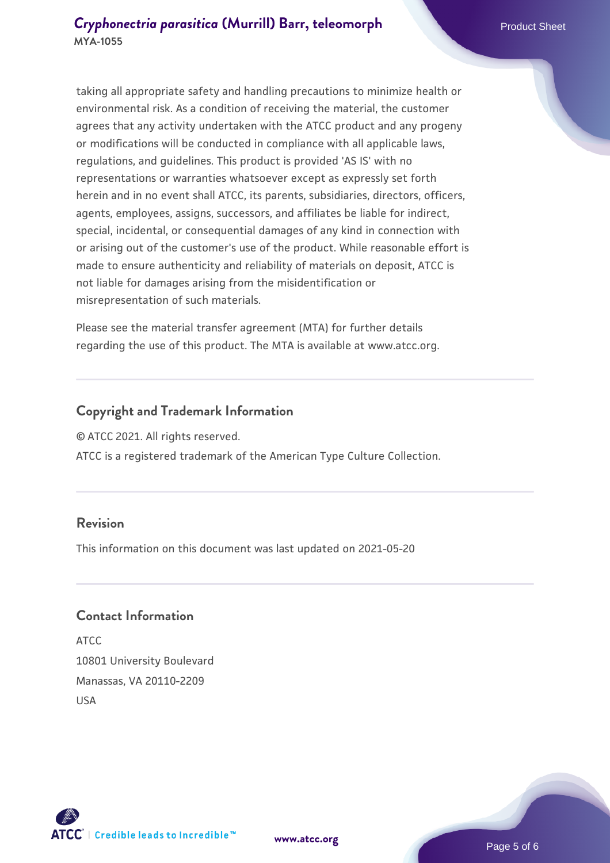taking all appropriate safety and handling precautions to minimize health or environmental risk. As a condition of receiving the material, the customer agrees that any activity undertaken with the ATCC product and any progeny or modifications will be conducted in compliance with all applicable laws, regulations, and guidelines. This product is provided 'AS IS' with no representations or warranties whatsoever except as expressly set forth herein and in no event shall ATCC, its parents, subsidiaries, directors, officers, agents, employees, assigns, successors, and affiliates be liable for indirect, special, incidental, or consequential damages of any kind in connection with or arising out of the customer's use of the product. While reasonable effort is made to ensure authenticity and reliability of materials on deposit, ATCC is not liable for damages arising from the misidentification or misrepresentation of such materials.

Please see the material transfer agreement (MTA) for further details regarding the use of this product. The MTA is available at www.atcc.org.

#### **Copyright and Trademark Information**

© ATCC 2021. All rights reserved.

ATCC is a registered trademark of the American Type Culture Collection.

#### **Revision**

This information on this document was last updated on 2021-05-20

#### **Contact Information**

ATCC 10801 University Boulevard Manassas, VA 20110-2209 USA